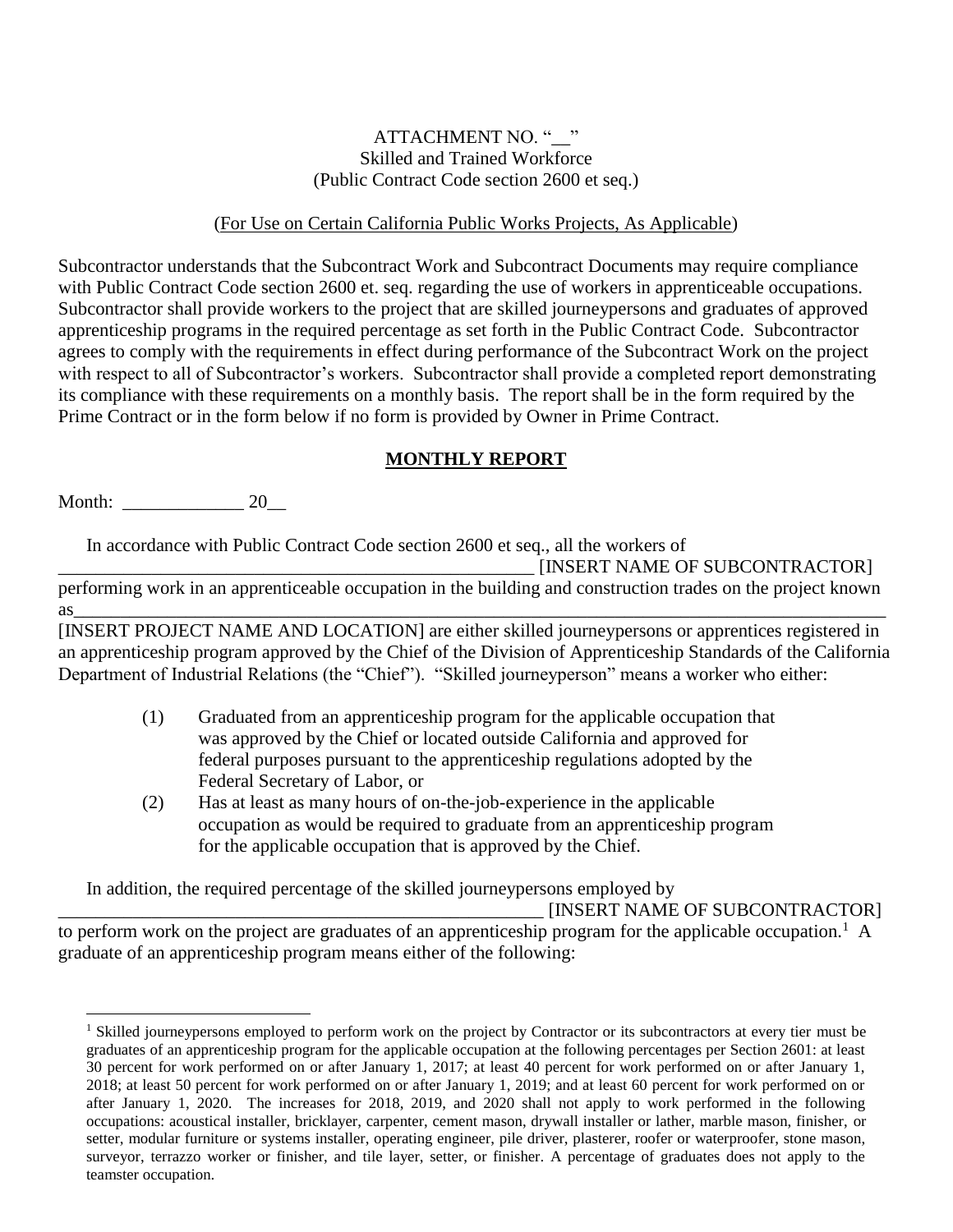### ATTACHMENT NO. " \_\_ " Skilled and Trained Workforce (Public Contract Code section 2600 et seq.)

#### (For Use on Certain California Public Works Projects, As Applicable)

Subcontractor understands that the Subcontract Work and Subcontract Documents may require compliance with Public Contract Code section 2600 et. seq. regarding the use of workers in apprenticeable occupations. Subcontractor shall provide workers to the project that are skilled journeypersons and graduates of approved apprenticeship programs in the required percentage as set forth in the Public Contract Code. Subcontractor agrees to comply with the requirements in effect during performance of the Subcontract Work on the project with respect to all of Subcontractor's workers. Subcontractor shall provide a completed report demonstrating its compliance with these requirements on a monthly basis. The report shall be in the form required by the Prime Contract or in the form below if no form is provided by Owner in Prime Contract.

# **MONTHLY REPORT**

Month: \_\_\_\_\_\_\_\_\_\_\_\_\_ 20\_\_

 $\overline{a}$ 

In accordance with Public Contract Code section 2600 et seq., all the workers of

\_\_\_\_\_\_\_\_\_\_\_\_\_\_\_\_\_\_\_\_\_\_\_\_\_\_\_\_\_\_\_\_\_\_\_\_\_\_\_\_\_\_\_\_\_\_\_\_\_\_\_ [INSERT NAME OF SUBCONTRACTOR] performing work in an apprenticeable occupation in the building and construction trades on the project known  $\rm as$   $\bar{a}$ 

[INSERT PROJECT NAME AND LOCATION] are either skilled journeypersons or apprentices registered in an apprenticeship program approved by the Chief of the Division of Apprenticeship Standards of the California Department of Industrial Relations (the "Chief"). "Skilled journeyperson" means a worker who either:

- (1) Graduated from an apprenticeship program for the applicable occupation that was approved by the Chief or located outside California and approved for federal purposes pursuant to the apprenticeship regulations adopted by the Federal Secretary of Labor, or
- (2) Has at least as many hours of on-the-job-experience in the applicable occupation as would be required to graduate from an apprenticeship program for the applicable occupation that is approved by the Chief.

In addition, the required percentage of the skilled journeypersons employed by

\_\_\_\_\_\_\_\_\_\_\_\_\_\_\_\_\_\_\_\_\_\_\_\_\_\_\_\_\_\_\_\_\_\_\_\_\_\_\_\_\_\_\_\_\_\_\_\_\_\_\_\_ [INSERT NAME OF SUBCONTRACTOR]

to perform work on the project are graduates of an apprenticeship program for the applicable occupation.<sup>1</sup> A graduate of an apprenticeship program means either of the following:

<sup>&</sup>lt;sup>1</sup> Skilled journeypersons employed to perform work on the project by Contractor or its subcontractors at every tier must be graduates of an apprenticeship program for the applicable occupation at the following percentages per Section 2601: at least 30 percent for work performed on or after January 1, 2017; at least 40 percent for work performed on or after January 1, 2018; at least 50 percent for work performed on or after January 1, 2019; and at least 60 percent for work performed on or after January 1, 2020. The increases for 2018, 2019, and 2020 shall not apply to work performed in the following occupations: acoustical installer, bricklayer, carpenter, cement mason, drywall installer or lather, marble mason, finisher, or setter, modular furniture or systems installer, operating engineer, pile driver, plasterer, roofer or waterproofer, stone mason, surveyor, terrazzo worker or finisher, and tile layer, setter, or finisher. A percentage of graduates does not apply to the teamster occupation.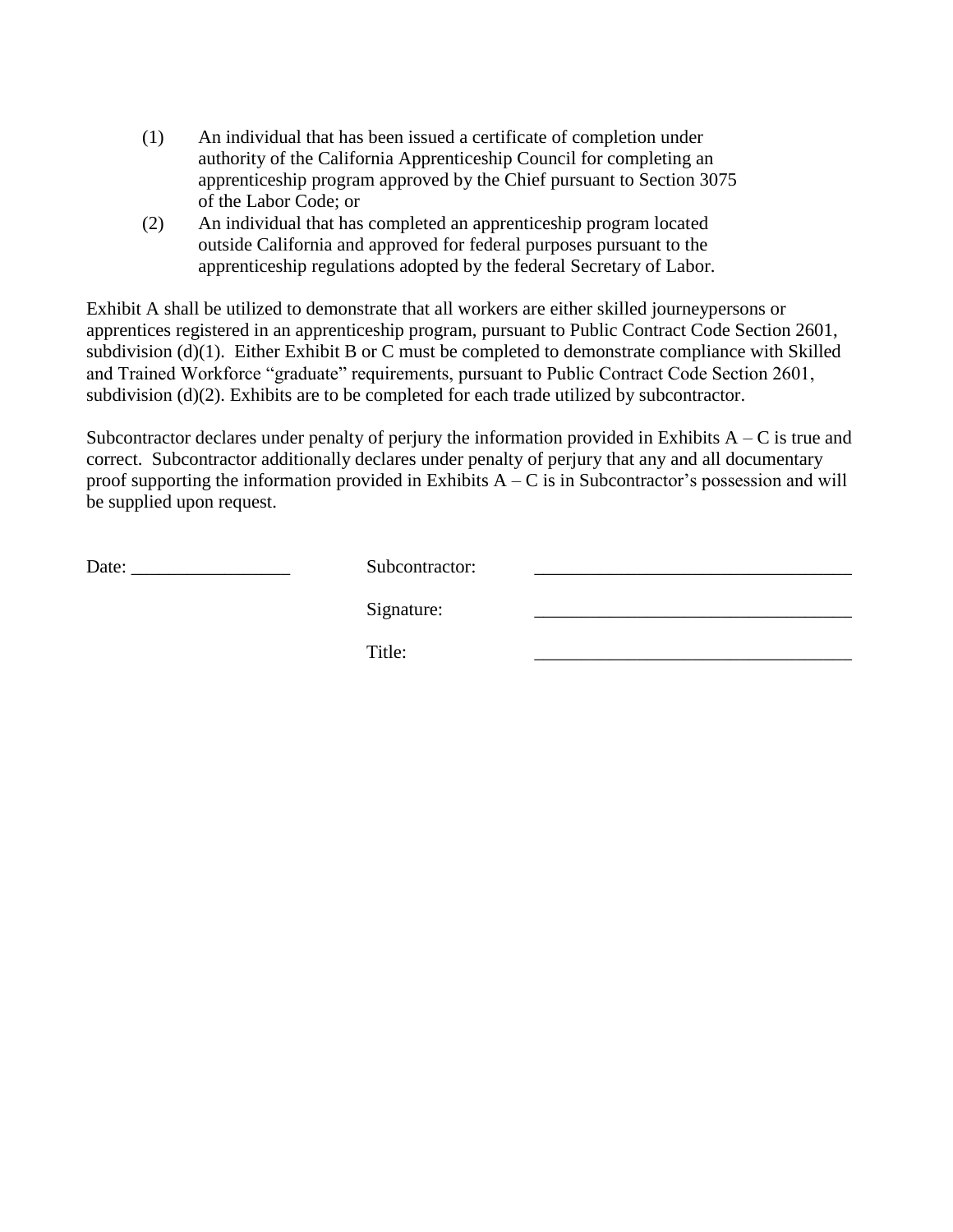- (1) An individual that has been issued a certificate of completion under authority of the California Apprenticeship Council for completing an apprenticeship program approved by the Chief pursuant to Section 3075 of the Labor Code; or
- (2) An individual that has completed an apprenticeship program located outside California and approved for federal purposes pursuant to the apprenticeship regulations adopted by the federal Secretary of Labor.

Exhibit A shall be utilized to demonstrate that all workers are either skilled journeypersons or apprentices registered in an apprenticeship program, pursuant to Public Contract Code Section 2601, subdivision (d)(1). Either Exhibit B or C must be completed to demonstrate compliance with Skilled and Trained Workforce "graduate" requirements, pursuant to Public Contract Code Section 2601, subdivision (d)(2). Exhibits are to be completed for each trade utilized by subcontractor.

Subcontractor declares under penalty of perjury the information provided in Exhibits  $A - C$  is true and correct. Subcontractor additionally declares under penalty of perjury that any and all documentary proof supporting the information provided in Exhibits  $A - C$  is in Subcontractor's possession and will be supplied upon request.

| Date: | Subcontractor: |  |
|-------|----------------|--|
|       | Signature:     |  |
|       | Title:         |  |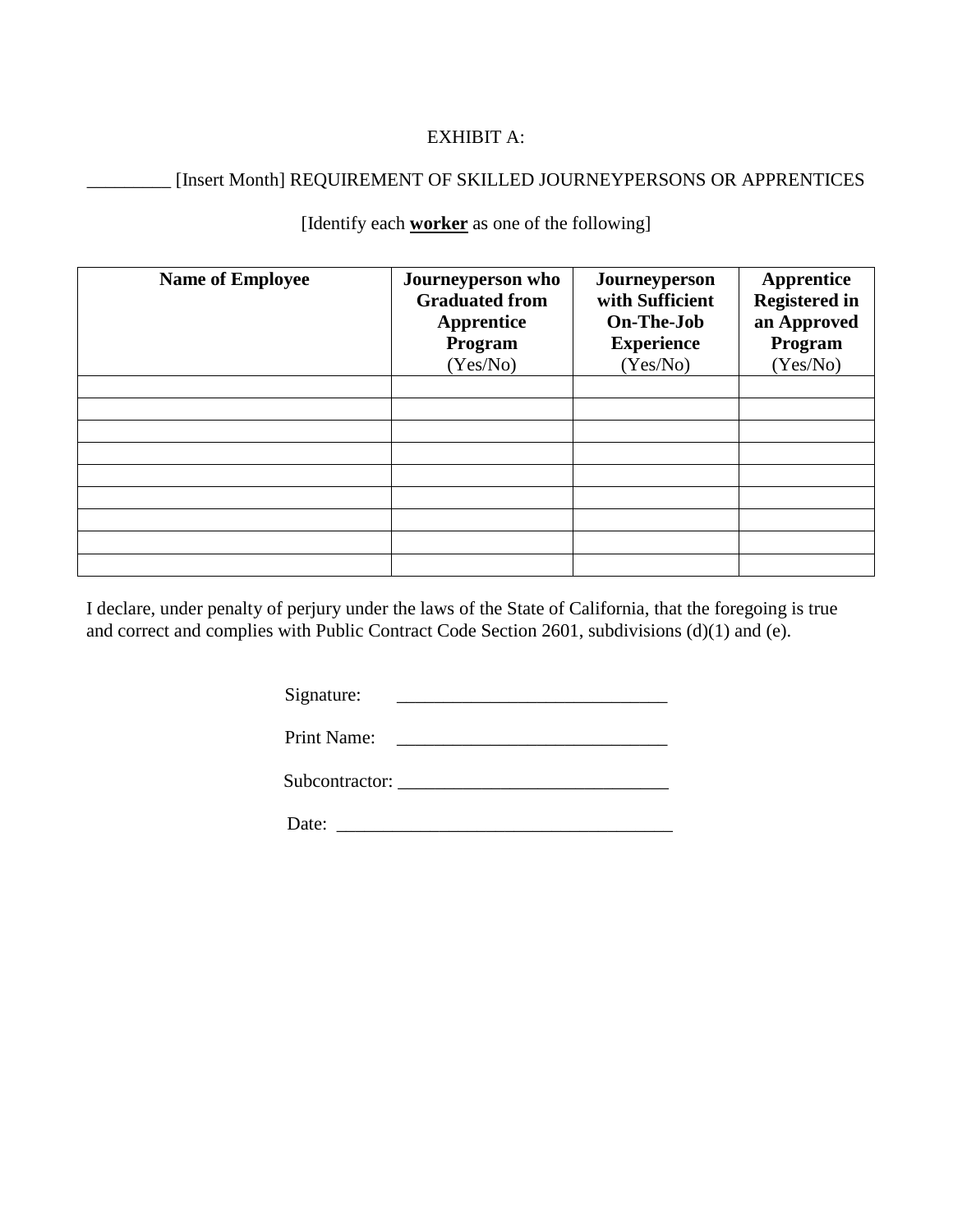### EXHIBIT A:

# \_\_\_\_\_\_\_\_\_ [Insert Month] REQUIREMENT OF SKILLED JOURNEYPERSONS OR APPRENTICES

| <b>Name of Employee</b> | Journeyperson who<br><b>Graduated from</b><br>Apprentice<br>Program<br>(Yes/No) | Journeyperson<br>with Sufficient<br>On-The-Job<br><b>Experience</b><br>(Yes/No) | Apprentice<br><b>Registered in</b><br>an Approved<br>Program<br>(Yes/No) |
|-------------------------|---------------------------------------------------------------------------------|---------------------------------------------------------------------------------|--------------------------------------------------------------------------|
|                         |                                                                                 |                                                                                 |                                                                          |
|                         |                                                                                 |                                                                                 |                                                                          |
|                         |                                                                                 |                                                                                 |                                                                          |
|                         |                                                                                 |                                                                                 |                                                                          |
|                         |                                                                                 |                                                                                 |                                                                          |
|                         |                                                                                 |                                                                                 |                                                                          |

[Identify each **worker** as one of the following]

I declare, under penalty of perjury under the laws of the State of California, that the foregoing is true and correct and complies with Public Contract Code Section 2601, subdivisions (d)(1) and (e).

 $Signature:$ 

Print Name: \_\_\_\_\_\_\_\_\_\_\_\_\_\_\_\_\_\_\_\_\_\_\_\_\_\_\_\_\_

Subcontractor:

Date: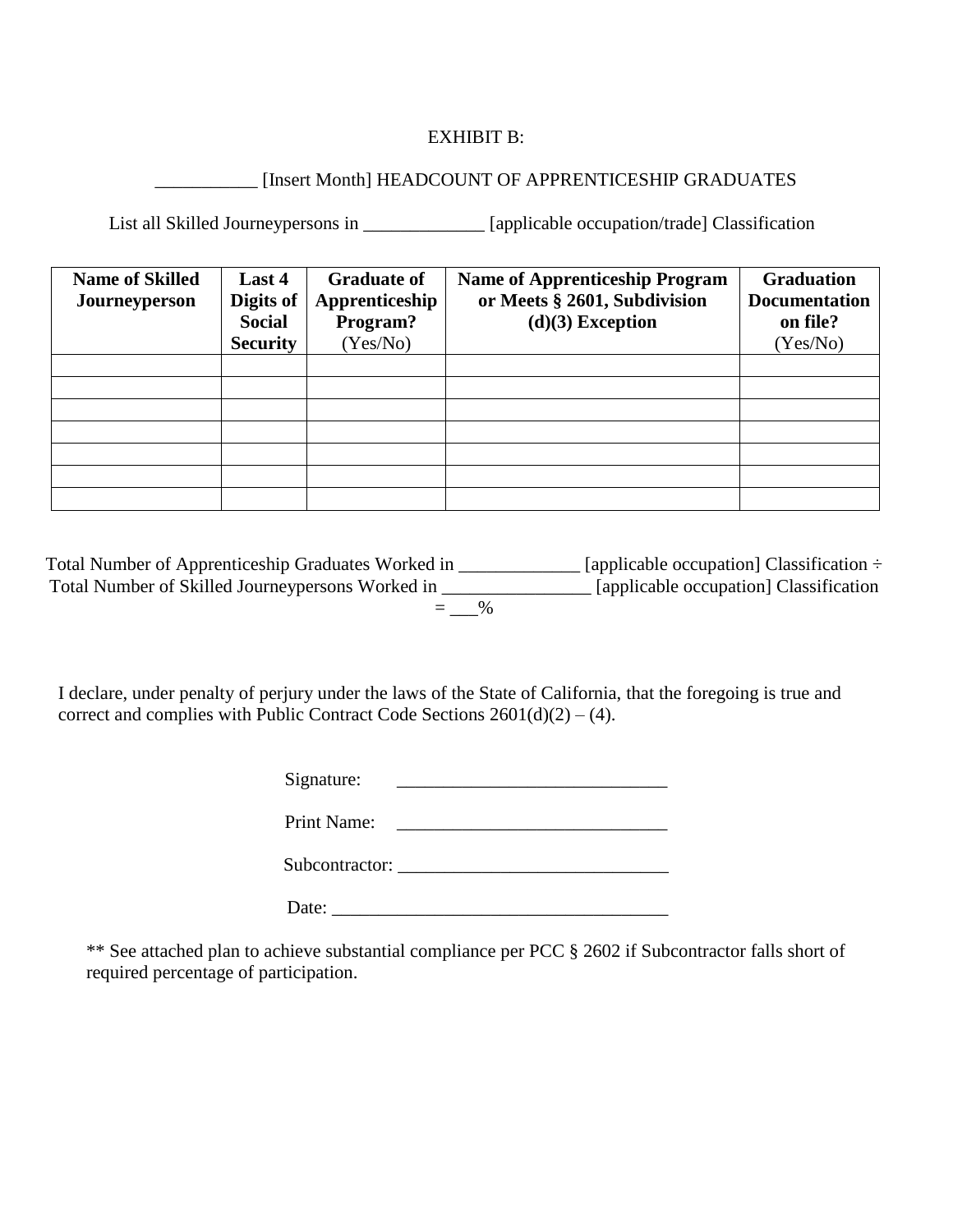### EXHIBIT B:

# \_\_\_\_\_\_\_\_\_\_\_ [Insert Month] HEADCOUNT OF APPRENTICESHIP GRADUATES

List all Skilled Journeypersons in \_\_\_\_\_\_\_\_\_\_\_\_\_\_ [applicable occupation/trade] Classification

| <b>Name of Skilled</b><br>Journeyperson | Last 4<br>Digits of<br><b>Social</b><br><b>Security</b> | <b>Graduate of</b><br>Apprenticeship<br>Program?<br>(Yes/No) | <b>Name of Apprenticeship Program</b><br>or Meets § 2601, Subdivision<br>$(d)(3)$ Exception | <b>Graduation</b><br><b>Documentation</b><br>on file?<br>(Yes/No) |
|-----------------------------------------|---------------------------------------------------------|--------------------------------------------------------------|---------------------------------------------------------------------------------------------|-------------------------------------------------------------------|
|                                         |                                                         |                                                              |                                                                                             |                                                                   |
|                                         |                                                         |                                                              |                                                                                             |                                                                   |
|                                         |                                                         |                                                              |                                                                                             |                                                                   |
|                                         |                                                         |                                                              |                                                                                             |                                                                   |
|                                         |                                                         |                                                              |                                                                                             |                                                                   |
|                                         |                                                         |                                                              |                                                                                             |                                                                   |

Total Number of Apprenticeship Graduates Worked in \_\_\_\_\_\_\_\_\_\_\_\_\_ [applicable occupation] Classification ÷ Total Number of Skilled Journeypersons Worked in \_\_\_\_\_\_\_\_\_\_\_\_\_\_\_\_ [applicable occupation] Classification  $=$  %

I declare, under penalty of perjury under the laws of the State of California, that the foregoing is true and correct and complies with Public Contract Code Sections  $2601(d)(2) - (4)$ .

Signature: \_\_\_\_\_\_\_\_\_\_\_\_\_\_\_\_\_\_\_\_\_\_\_\_\_\_\_\_\_

Print Name:

Subcontractor: \_\_\_\_\_\_\_\_\_\_\_\_\_\_\_\_\_\_\_\_\_\_\_\_\_\_\_\_\_

Date:

\*\* See attached plan to achieve substantial compliance per PCC § 2602 if Subcontractor falls short of required percentage of participation.